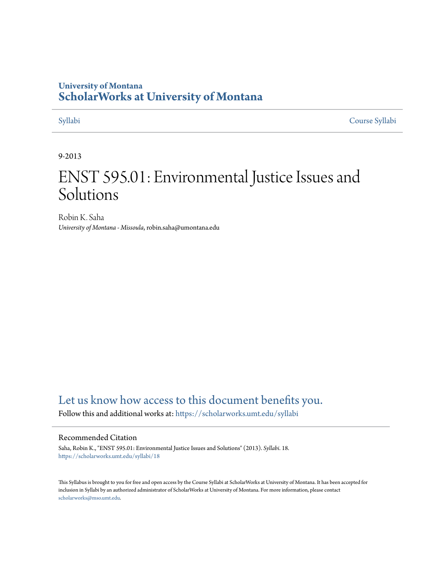# **University of Montana [ScholarWorks at University of Montana](https://scholarworks.umt.edu?utm_source=scholarworks.umt.edu%2Fsyllabi%2F18&utm_medium=PDF&utm_campaign=PDFCoverPages)**

[Syllabi](https://scholarworks.umt.edu/syllabi?utm_source=scholarworks.umt.edu%2Fsyllabi%2F18&utm_medium=PDF&utm_campaign=PDFCoverPages) [Course Syllabi](https://scholarworks.umt.edu/course_syllabi?utm_source=scholarworks.umt.edu%2Fsyllabi%2F18&utm_medium=PDF&utm_campaign=PDFCoverPages)

# 9-2013

# ENST 595.01: Environmental Justice Issues and Solutions

Robin K. Saha *University of Montana - Missoula*, robin.saha@umontana.edu

# [Let us know how access to this document benefits you.](https://goo.gl/forms/s2rGfXOLzz71qgsB2)

Follow this and additional works at: [https://scholarworks.umt.edu/syllabi](https://scholarworks.umt.edu/syllabi?utm_source=scholarworks.umt.edu%2Fsyllabi%2F18&utm_medium=PDF&utm_campaign=PDFCoverPages)

#### Recommended Citation

Saha, Robin K., "ENST 595.01: Environmental Justice Issues and Solutions" (2013). *Syllabi*. 18. [https://scholarworks.umt.edu/syllabi/18](https://scholarworks.umt.edu/syllabi/18?utm_source=scholarworks.umt.edu%2Fsyllabi%2F18&utm_medium=PDF&utm_campaign=PDFCoverPages)

This Syllabus is brought to you for free and open access by the Course Syllabi at ScholarWorks at University of Montana. It has been accepted for inclusion in Syllabi by an authorized administrator of ScholarWorks at University of Montana. For more information, please contact [scholarworks@mso.umt.edu](mailto:scholarworks@mso.umt.edu).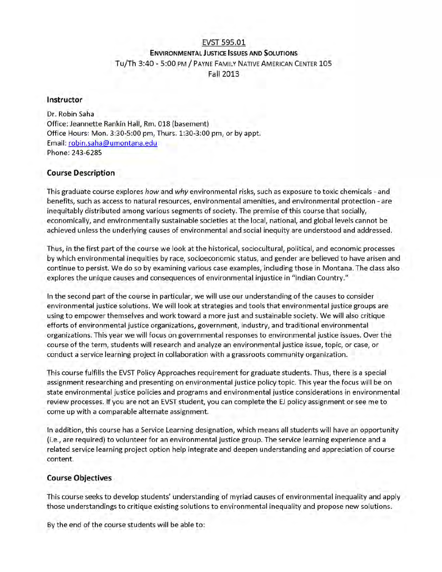### EVST 595.01 **ENVIRONMENTAL JUSTICE ISSUES AND SOLUTIONS**

Tu/Th 3:40 - 5:00 PM / PAYNE FAMILY NATIVE AMERICAN CENTER 105

Fall 2013

### **Instructor**

Dr. Robin Saha Office: Jeannette Rankin Hall, Rm. 018 (basement) Office Hours: Mon. 3:30-5:00 pm, Thurs. 1:30-3:00 pm, or by appt. Email: robin.saha@umontana.edu Phone: 243-6285

# **Course Description**

This graduate course explores *how* and *why* environmental risks, such as exposure to toxic chemicals - and benefits, such as access to natural resources, environmental amenities, and environmental protection - are inequitably distributed among various segments of society. The premise of this course that socially, economically, and environmentally sustainable societies at the local, national, and global levels cannot be achieved unless the underlying causes of environmental and social inequity are understood and addressed.

Thus, in the first part of the course we look at the historical, sociocultural, political, and economic processes by which environmental inequities by race, socioeconomic status, and gender are believed to have arisen and continue to persist. We do so by examining various case examples, including those in Montana. The class also explores the unique causes and consequences of environmental injustice in "Indian Country."

In the second part of the course in particular, we will use our understanding of the causes to consider environmental justice solutions. We will look at strategies and tools that environmental justice groups are using to empower themselves and work toward a more just and sustainable society. We will also critique efforts of environmental justice organizations, government, industry, and traditional environmental organizations. This year we will focus on governmental responses to environmental justice issues. Over the course of the term, students will research and analyze an environmental justice issue, topic, or case, or conduct a service learning project in collaboration with a grassroots community organization.

This course fulfills the EVST Policy Approaches requirement for graduate students. Thus, there is a special assignment researching and presenting on environmental justice policy topic. This year the focus will be on state environmental justice policies and programs and environmental justice considerations in environmental review processes. If you are not an EVST student, you can complete the EJ policy assignment or see me to come up with a comparable alternate assignment.

In addition, this course has a Service Learning designation, which means all students will have an opportunity (i.e., are required) to volunteer for an environmental justice group. The service learning experience and a related service learning project option help integrate and deepen understanding and appreciation of course content.

#### **Course Objectives**

This course seeks to develop students' understanding of myriad causes of environmental inequality and apply those understandings to critique existing solutions to environmental inequality and propose new solutions.

By the end of the course students will be able to: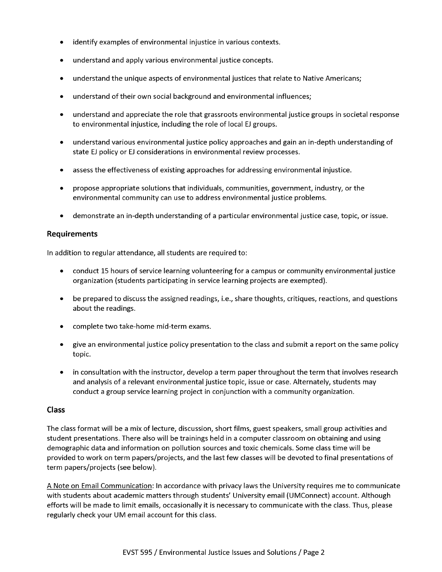- identify examples of environmental injustice in various contexts.
- understand and apply various environmental justice concepts.
- understand the unique aspects of environmental justices that relate to Native Americans;
- understand of their own social background and environmental influences;
- understand and appreciate the role that grassroots environmental justice groups in societal response to environmental injustice, including the role of local EJ groups.
- understand various environmental justice policy approaches and gain an in-depth understanding of  $\bullet$ state EJ policy or EJ considerations in environmental review processes.
- assess the effectiveness of existing approaches for addressing environmental injustice.
- propose appropriate solutions that individuals, communities, government, industry, or the environmental community can use to address environmental justice problems.
- demonstrate an in-depth understanding of a particular environmental justice case, topic, or issue.

## **Requirements**

In addition to regular attendance, all students are required to:

- conduct 15 hours of service learning volunteering for a campus or community environmental justice organization (students participating in service learning projects are exempted).
- be prepared to discuss the assigned readings, i.e., share thoughts, critiques, reactions, and questions about the readings.
- complete two take-home mid-term exams.
- give an environmental justice policy presentation to the class and submit a report on the same policy topic.
- in consultation with the instructor, develop a term paper throughout the term that involves research and analysis of a relevant environmental justice topic, issue or case. Alternately, students may conduct a group service learning project in conjunction with a community organization.

#### **Class**

The class format will be a mix of lecture, discussion, short films, guest speakers, small group activities and student presentations. There also will be trainings held in a computer classroom on obtaining and using demographic data and information on pollution sources and toxic chemicals. Some class time will be provided to work on term papers/projects, and the last few classes will be devoted to final presentations of term papers/projects (see below).

A Note on Email Communication: In accordance with privacy laws the University requires me to communicate with students about academic matters through students' University email (UMConnect) account. Although efforts will be made to limit emails, occasionally it is necessary to communicate with the class. Thus, please regularly check your UM email account for this class.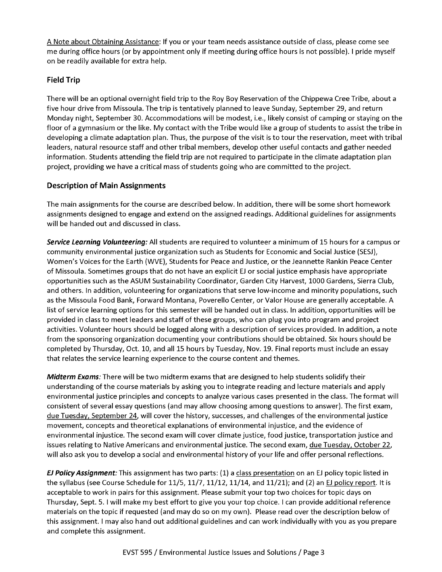A Note about Obtaining Assistance: If you or your team needs assistance outside of class, please come see me during office hours (or by appointment only if meeting during office hours is not possible). I pride myself on be readily available for extra help.

# **Field Trip**

There will be an optional overnight field trip to the Roy Boy Reservation of the Chippewa Cree Tribe, about a five hour drive from Missoula. The trip is tentatively planned to leave Sunday, September 29, and return Monday night, September 30. Accommodations will be modest, i.e., likely consist of camping or staying on the floor of a gymnasium or the like. My contact with the Tribe would like a group of students to assist the tribe in developing a climate adaptation plan. Thus, the purpose of the visit is to tour the reservation, meet with tribal leaders, natural resource staff and other tribal members, develop other useful contacts and gather needed information. Students attending the field trip are not required to participate in the climate adaptation plan project, providing we have a critical mass of students going who are committed to the project.

# **Description of Main Assignments**

The main assignments for the course are described below. In addition, there will be some short homework assignments designed to engage and extend on the assigned readings. Additional guidelines for assignments will be handed out and discussed in class.

*Service Learning Volunteering:* All students are required to volunteer a minimum of 15 hours for a campus or community environmental justice organization such as Students for Economic and Social Justice (SESJ), Women's Voices for the Earth (WVE), Students for Peace and Justice, or the Jeannette Rankin Peace Center of Missoula. Sometimes groups that do not have an explicit EJ or social justice emphasis have appropriate opportunities such as the ASUM Sustainability Coordinator, Garden City Harvest, 1000 Gardens, Sierra Club, and others. In addition, volunteering for organizations that serve low-income and minority populations, such as the Missoula Food Bank, Forward Montana, Poverello Center, or Valor House are generally acceptable. A list of service learning options for this semester will be handed out in class. In addition, opportunities will be provided in class to meet leaders and staff of these groups, who can plug you into program and project activities. Volunteer hours should be logged along with a description of services provided. In addition, a note from the sponsoring organization documenting your contributions should be obtained. Six hours should be completed by Thursday, Oct. 10, and all 15 hours by Tuesday, Nov. 19. Final reports must include an essay that relates the service learning experience to the course content and themes.

*Midterm Exams:* There will be two midterm exams that are designed to help students solidify their understanding of the course materials by asking you to integrate reading and lecture materials and apply environmental justice principles and concepts to analyze various cases presented in the class. The format will consistent of several essay questions (and may allow choosing among questions to answer). The first exam, due Tuesday, September 24. will cover the history, successes, and challenges of the environmental justice movement, concepts and theoretical explanations of environmental injustice, and the evidence of environmental injustice. The second exam will cover climate justice, food justice, transportation justice and issues relating to Native Americans and environmental justice. The second exam, due Tuesday, October 22, will also ask you to develop a social and environmental history of your life and offer personal reflections.

*EJ Policy Assignment:* This assignment has two parts: (1) a class presentation on an EJ policy topic listed in the syllabus (see Course Schedule for 11/5, 11/7, 11/12, 11/14, and 11/21); and (2) an EJ policy report. It is acceptable to work in pairs for this assignment. Please submit your top two choices for topic days on Thursday, Sept. 5. I will make my best effort to give you your top choice. I can provide additional reference materials on the topic if requested (and may do so on my own). Please read over the description below of this assignment. I may also hand out additional guidelines and can work individually with you as you prepare and complete this assignment.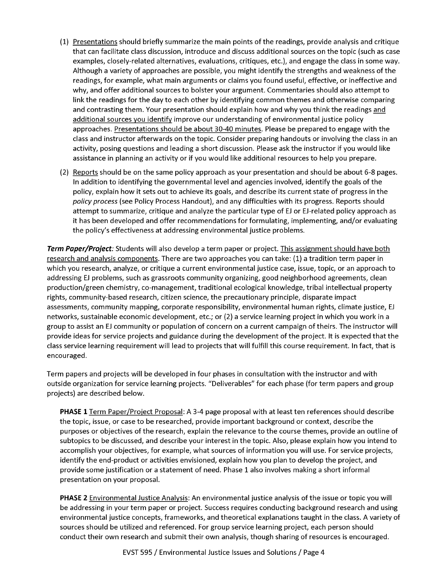- (1) Presentations should briefly summarize the main points of the readings, provide analysis and critique that can facilitate class discussion, introduce and discuss additional sources on the topic (such as case examples, closely-related alternatives, evaluations, critiques, etc.), and engage the class in some way. Although a variety of approaches are possible, you might identify the strengths and weakness of the readings, for example, what main arguments or claims you found useful, effective, or ineffective and why, and offer additional sources to bolster your argument. Commentaries should also attempt to link the readings for the day to each other by identifying common themes and otherwise comparing and contrasting them. Your presentation should explain how and why you think the readings and additional sources you identify improve our understanding of environmental justice policy approaches. Presentations should be about 30-40 minutes. Please be prepared to engage with the class and instructor afterwards on the topic. Consider preparing handouts or involving the class in an activity, posing questions and leading a short discussion. Please ask the instructor if you would like assistance in planning an activity or if you would like additional resources to help you prepare.
- (2) Reports should be on the same policy approach as your presentation and should be about 6-8 pages. In addition to identifying the governmental level and agencies involved, identify the goals of the policy, explain how it sets out to achieve its goals, and describe its current state of progress in the *policy process* (see Policy Process Handout), and any difficulties with its progress. Reports should attempt to summarize, critique and analyze the particular type of EJ or EJ-related policy approach as it has been developed and offer recommendations for formulating, implementing, and/or evaluating the policy's effectiveness at addressing environmental justice problems.

*Term Paper/Project:* Students will also develop a term paper or project. This assignment should have both research and analysis components. There are two approaches you can take: (1) a tradition term paper in which you research, analyze, or critique a current environmental justice case, issue, topic, or an approach to addressing EJ problems, such as grassroots community organizing, good neighborhood agreements, clean production/green chemistry, co-management, traditional ecological knowledge, tribal intellectual property rights, community-based research, citizen science, the precautionary principle, disparate impact assessments, community mapping, corporate responsibility, environmental human rights, climate justice, EJ networks, sustainable economic development, etc.; or (2) a service learning project in which you work in a group to assist an EJ community or population of concern on a current campaign of theirs. The instructor will provide ideas for service projects and guidance during the development of the project. It is expected that the class service learning requirement will lead to projects that will fulfill this course requirement. In fact, that is encouraged.

Term papers and projects will be developed in four phases in consultation with the instructor and with outside organization for service learning projects. "Deliverables" for each phase (for term papers and group projects) are described below.

**PHASE 1** Term Paper/Project Proposal: A 3-4 page proposal with at least ten references should describe the topic, issue, or case to be researched, provide im portant background or context, describe the purposes or objectives of the research, explain the relevance to the course themes, provide an outline of subtopics to be discussed, and describe your interest in the topic. Also, please explain how you intend to accomplish your objectives, for example, what sources of information you will use. For service projects, identify the end-product or activities envisioned, explain how you plan to develop the project, and provide some justification or a statement of need. Phase 1 also involves making a short informal presentation on your proposal.

**PHASE 2** Environmental Justice Analysis: An environmental justice analysis of the issue or topic you will be addressing in your term paper or project. Success requires conducting background research and using environmental justice concepts, frameworks, and theoretical explanations taught in the class. A variety of sources should be utilized and referenced. For group service learning project, each person should conduct their own research and submit their own analysis, though sharing of resources is encouraged.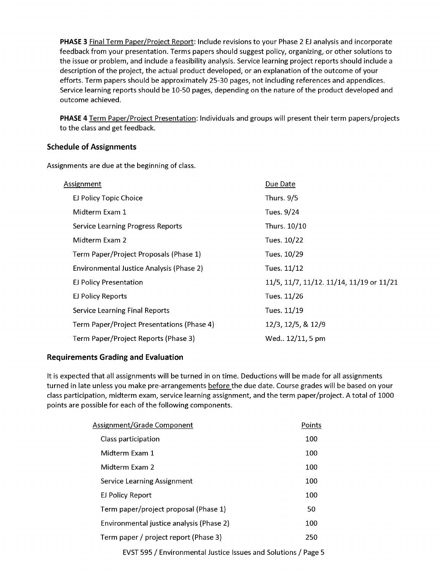**PHASE 3** Final Term Paper/Project Report: Include revisions to your Phase 2 EJ analysis and incorporate feedback from your presentation. Terms papers should suggest policy, organizing, or other solutions to the issue or problem, and include a feasibility analysis. Service learning project reports should include a description of the project, the actual product developed, or an explanation of the outcome of your efforts. Term papers should be approximately 25-30 pages, not including references and appendices. Service learning reports should be 10-50 pages, depending on the nature of the product developed and outcome achieved.

**PHASE 4** Term Paper/Project Presentation: Individuals and groups will present their term papers/projects to the class and get feedback.

# **Schedule of Assignments**

Assignments are due at the beginning of class.

| Due Date                                 |
|------------------------------------------|
| <b>Thurs. 9/5</b>                        |
| Tues. 9/24                               |
| Thurs. 10/10                             |
| Tues. 10/22                              |
| Tues. 10/29                              |
| Tues. 11/12                              |
| 11/5, 11/7, 11/12. 11/14, 11/19 or 11/21 |
| Tues. 11/26                              |
| Tues. 11/19                              |
| 12/3, 12/5, & 12/9                       |
| Wed 12/11, 5 pm                          |
|                                          |

# **Requirements Grading and Evaluation**

It is expected that all assignments will be turned in on time. Deductions will be made for all assignments turned in late unless you make pre-arrangements before the due date. Course grades will be based on your class participation, midterm exam, service learning assignment, and the term paper/project. A total of 1000 points are possible for each of the following components.

| Assignment/Grade Component               | Points |
|------------------------------------------|--------|
| Class participation                      | 100    |
| Midterm Exam 1                           | 100    |
| Midterm Exam 2                           | 100    |
| Service Learning Assignment              | 100    |
| EJ Policy Report                         | 100    |
| Term paper/project proposal (Phase 1)    | 50     |
| Environmental justice analysis (Phase 2) | 100    |
| Term paper / project report (Phase 3)    | 250    |
|                                          |        |

EVST 595 / Environmental Justice Issues and Solutions / Page 5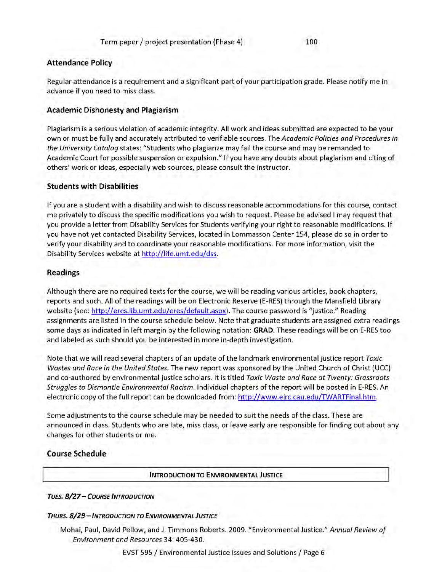#### **Attendance Policy**

Regular attendance is a requirement and a significant part of your participation grade. Please notify me in advance if you need to miss class.

#### **Academic Dishonesty and Plagiarism**

Plagiarism is a serious violation of academic integrity. All work and ideas submitted are expected to be your own or must be fully and accurately attributed to verifiable sources. The *Academic Policies and Procedures in the University Catalog* states: "Students who plagiarize may fail the course and may be remanded to Academic Court for possible suspension or expulsion." If you have any doubts about plagiarism and citing of others' work or ideas, especially web sources, please consult the instructor.

#### **Students with Disabilities**

If you are a student with a disability and wish to discuss reasonable accommodations for this course, contact me privately to discuss the specific modifications you wish to request. Please be advised I may request that you provide a letter from Disability Services for Students verifying your right to reasonable modifications. If you have not yet contacted Disability Services, located in Lommasson Center 154, please do so in order to verify your disability and to coordinate your reasonable modifications. For more inform ation, visit the Disability Services website at http://life.umt.edu/dss.

#### **Readings**

Although there are no required texts for the course, we will be reading various articles, book chapters, reports and such. All of the readings will be on Electronic Reserve (E-RES) through the Mansfield Library website (see: http://eres.lib.umt.edu/eres/default.aspx). The course password is "justice." Reading assignments are listed in the course schedule below. Note that graduate students are assigned extra readings some days as indicated in left margin by the following notation: **GRAD.** These readings will be on E-RES too and labeled as such should you be interested in more in-depth investigation.

Note that we will read several chapters of an update of the landmark environmental justice report *Toxic Wastes and Race in the United States.* The new report was sponsored by the United Church of Christ (UCC) and co-authored by environmental justice scholars. It is titled *Toxic Waste and Race at Twenty: Grassroots Struggles to Dismantle Environmental Racism.* Individual chapters of the report will be posted in E-RES. An electronic copy of the full report can be downloaded from: http://www.ejrc.cau.edu/TWARTFinal.htm.

Some adjustments to the course schedule may be needed to suit the needs of the class. These are announced in class. Students who are late, miss class, or leave early are responsible for finding out about any changes for other students or me.

### **Course Schedule**

**INTRODUCTION TO ENVIRONMENTAL JUSTICE** 

*T u es. 8 / 2 7* - *Co u r s e I n t r o d u c t io n*

#### *THURS. 8/29 - INTRODUCTION TO ENVIRONMENTAL JUSTICE*

Mohai, Paul, David Pellow, and J. Timmons Roberts. 2009. "Environmental Justice." *Annual Review o f Environment and Resources* 34: 405-430.

EVST 595 / Environmental Justice Issues and Solutions / Page 6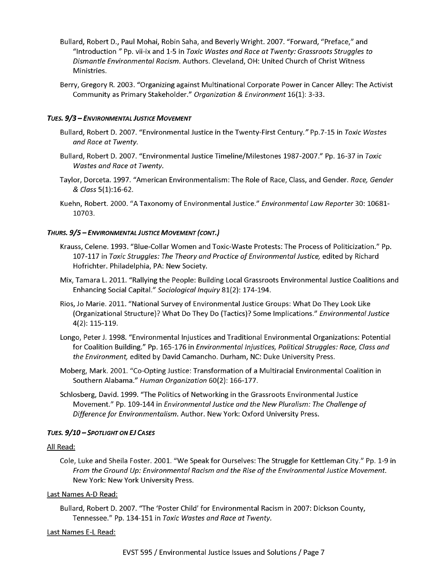- Bullard, Robert D., Paul Mohai, Robin Saha, and Beverly Wright. 2007. "Forward, "Preface," and "Introduction " Pp. vii-ix and 1-5 in *Toxic Wastes and Race a t Twenty: Grassroots Struggles to Dismantle Environmental Racism.* Authors. Cleveland, OH: United Church of Christ Witness Ministries.
- Berry, Gregory R. 2003. "Organizing against Multinational Corporate Power in Cancer Alley: The Activist Community as Primary Stakeholder." *Organization & Environment* 16(1): 3-33.

#### *T u es. 9 / 3* - *En v ir o n m e n t a l J u s t ic e M o v e m e n t*

- Bullard, Robert D. 2007. "Environmental Justice in the Twenty-First Century." Pp.7-15 in *Toxic Wastes and Race at Twenty.*
- Bullard, Robert D. 2007. "Environmental Justice Timeline/Milestones 1987-2007." Pp. 16-37 in *Toxic Wastes and Race at Twenty.*
- Taylor, Dorceta. 1997. "American Environmentalism: The Role of Race, Class, and Gender. *Race, Gender & Class* 5(l):16-62.
- Kuehn, Robert. 2000. "A Taxonomy of Environmental Justice." *Environmental Law Reporter* 30: 10681- 10703.

#### *Th u r s . 9 / 5* - *En v ir o n m e n t a l J u s t ic e M o v e m e n t ( c o n t .)*

- Krauss, Celene. 1993. "Blue-Collar Women and Toxic-Waste Protests: The Process of Politicization." Pp. 107-117 in *Toxic Struggles: The Theory and Practice o f Environmental Justice,* edited by Richard Hofrichter. Philadelphia, PA: New Society.
- Mix, Tamara L. 2011. "Rallying the People: Building Local Grassroots Environmental Justice Coalitions and Enhancing Social Capital." *Sociological Inquiry* 81(2): 174-194.
- Rios, Jo Marie. 2011. "National Survey of Environmental Justice Groups: What Do They Look Like (Organizational Structure)? W hat Do They Do (Tactics)? Some Implications." *Environmental Justice* 4(2): 115-119.
- Longo, Peter J. 1998. "Environmental Injustices and Traditional Environmental Organizations: Potential for Coalition Building." Pp. 165-176 in *Environmental Injustices, Political Struggles: Race, Class and the Environment,* edited by David Camancho. Durham, NC: Duke University Press.
- Moberg, Mark. 2001. "Co-Opting Justice: Transformation of a Multiracial Environmental Coalition in Southern Alabama." *Human Organization* 60(2): 166-177.
- Schlosberg, David. 1999. "The Politics of Networking in the Grassroots Environmental Justice Movement." Pp. 109-144 in *Environmental Justice and the New Pluralism: The Challenge of Difference for Environmentalism.* Author. New York: Oxford University Press.

#### *T u es. 9 / 1 0* - *Sp o t l ig h t o n EJ Ca s e s*

#### All Read:

Cole, Luke and Sheila Foster. 2001. "We Speak for Ourselves: The Struggle for Kettleman City." Pp. 1-9 in *From the Ground Up: Environmental Racism and the Rise of the Environmental Justice Movement.* New York: New York University Press.

#### Last Names A-D Read:

Bullard, Robert D. 2007. "The 'Poster Child' for Environmental Racism in 2007: Dickson County, Tennessee." Pp. 134-151 in *Toxic Wastes and Race at Twenty.* 

#### Last Names E-L Read: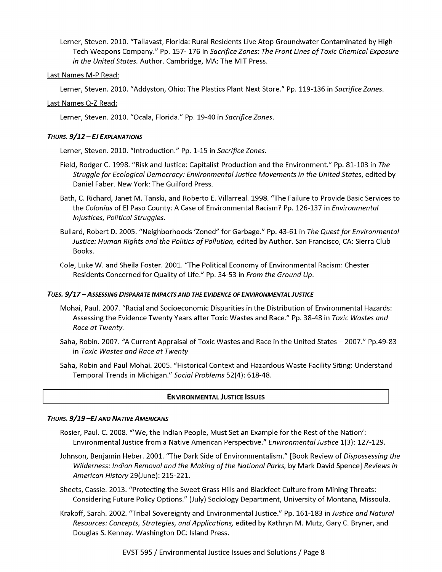Lerner, Steven. 2010. "Tallavast, Florida: Rural Residents Live Atop Groundwater Contaminated by High-Tech Weapons Company." Pp. 157- 176 in *Sacrifice Zones: The Front Lines of Toxic Chemical Exposure in the United States.* Author. Cambridge, MA: The MIT Press.

#### Last Names M-P Read:

Lerner, Steven. 2010. "Addyston, Ohio: The Plastics Plant Next Store." Pp. 119-136 in *Sacrifice Zones.*

#### Last Names Q-Z Read:

Lerner, Steven. 2010. "Ocala, Florida." Pp. 19-40 in *Sacrifice Zones.*

#### *Th u r s . 9 / 1 2 - EJ Ex p l a n a t io n s*

Lerner, Steven. 2010. "Introduction." Pp. 1-15 in *Sacrifice Zones.*

- Field, Rodger C. 1998. "Risk and Justice: Capitalist Production and the Environment." Pp. 81-103 in *The Struggle fo r Ecological Democracy: Environmental Justice Movements in the United States,* edited by Daniel Faber. New York: The Guilford Press.
- Bath, C. Richard, Janet M. Tanski, and Roberto E. Villarreal. 1998. "The Failure to Provide Basic Services to the *Colonias* of El Paso County: A Case of Environmental Racism? Pp. 126-137 in *Environmental Injustices, Political Struggles.*
- Bullard, Robert D. 2005. "Neighborhoods 'Zoned" for Garbage." Pp. 43-61 in *The Quest fo r Environmental* Justice: Human Rights and the Politics of Pollution, edited by Author. San Francisco, CA: Sierra Club Books.
- Cole, Luke W. and Sheila Foster. 2001. "The Political Economy of Environmental Racism: Chester Residents Concerned for Quality of Life." Pp. 34-53 in *From the Ground Up*.

#### TUES. 9/17 - ASSESSING DISPARATE IMPACTS AND THE EVIDENCE OF ENVIRONMENTAL JUSTICE

- Mohai, Paul. 2007. "Racial and Socioeconomic Disparities in the Distribution of Environmental Hazards: Assessing the Evidence Twenty Years after Toxic Wastes and Race." Pp. 38-48 in *Toxic Wastes and Race at Twenty.*
- Saha, Robin. 2007. "A Current Appraisal of Toxic Wastes and Race in the United States 2007." Pp.49-83 in *Toxic Wastes and Race at Twenty*
- Saha, Robin and Paul Mohai. 2005. "Historical Context and Hazardous Waste Facility Siting: Understand Temporal Trends in Michigan." *Social Problems* 52(4): 618-48.

#### **ENVIRONMENTAL JUSTICE ISSUES**

#### *Th u r s . 9 / 1 9 -E J a n d N a t iv e A m e r ic a n s*

- Rosier, Paul. C. 2008. "'W e, the Indian People, Must Set an Example for the Rest of the Nation': Environmental Justice from a Native American Perspective." *Environmental Justice* 1(3): 127-129.
- Johnson, Benjamin Heber. 2001. "The Dark Side of Environmentalism." [Book Review of *Dispossessing the Wilderness: Indian Removal and the Making of the National Parks, by Mark David Spence] Reviews in American History* 29(June): 215-221.
- Sheets, Cassie. 2013. "Protecting the Sweet Grass Hills and Blackfeet Culture from Mining Threats: Considering Future Policy Options." (July) Sociology Department, University of Montana, Missoula.
- Krakoff, Sarah. 2002. "Tribal Sovereignty and Environmental Justice." Pp. 161-183 in *Justice and Natural Resources: Concepts, Strategies, and Applications,* edited by Kathryn M. Mutz, Gary C. Bryner, and Douglas S. Kenney. Washington DC: Island Press.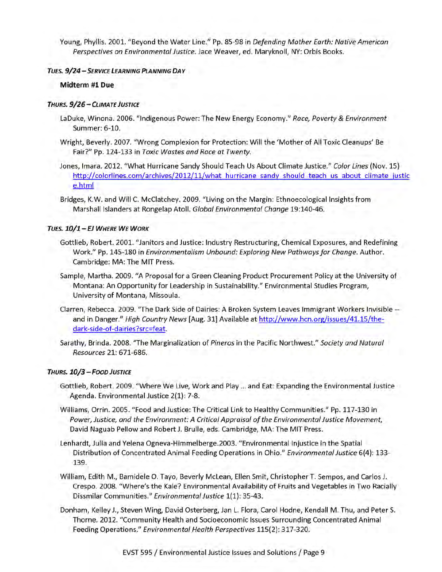Young, Phyllis. 2001. "Beyond the Water Line." Pp. 85-98 in *Defending Mother Earth: Native American Perspectives on Environmental Justice.* Jace Weaver, ed. Maryknoll, NY: Orbis Books.

#### *T u es. 9 / 2 4* - *Se r v ic e Le a r n in g Pl a n n in g D a y*

#### **Midterm #1 Due**

#### *Th u r s . 9 / 2 6 - C l im a t e J u s t ic e*

- LaDuke, Winona. 2006. "Indigenous Power: The New Energy Economy." *Race***,** *Poverty & Environment* Summer: 6-10.
- Wright, Beverly. 2007. "Wrong Complexion for Protection: Will the 'Mother of All Toxic Cleanups' Be Fair?" Pp. 124-133 in *Toxic Wastes and Race at Twenty.*
- Jones, Imara. 2012. "W hat Hurricane Sandy Should Teach Us About Climate Justice." *Color Lines* (Nov. 15) http://colorlines.com/archives/2012/11/what hurricane sandy should teach us about climate justic e.html
- Bridges, K.W. and Will C. McClatchey. 2009. "Living on the Margin: Ethnoecological Insights from Marshall Islanders at Rongelap Atoll. *Global Environmental Change* 19:140-46.

#### *T u es. 1 0 /1 - EJ W h e r e W e W o r k*

- Gottlieb, Robert. 2001. "Janitors and Justice: Industry Restructuring, Chemical Exposures, and Redefining Work." Pp. 145-180 in *Environmentalism Unbound: Exploring New Pathways for Change. Author.* Cambridge: MA: The MIT Press.
- Sample, Martha. 2009. "A Proposal for a Green Cleaning Product Procurement Policy at the University of Montana: An Opportunity for Leadership in Sustainability." Environmental Studies Program, University of Montana, Missoula.
- Clarren, Rebecca. 2009. "The Dark Side of Dairies: A Broken System Leaves Immigrant Workers Invisible and in Danger." *High Country News* [Aug. 31] Available at http://www.hcn.org/issues/41.15/thedark-side-of-dairies?src=feat.
- Sarathy, Brinda. 2008. "The Marginalization of *Pineros* in the Pacific Northwest." *Society and Natural Resources* 21: 671-686.

#### *Th u r s . 1 0 / 3 - F o o d J u s t ic e*

- Gottlieb, Robert. 2009. "Where We Live, Work and Play ... and Eat: Expanding the Environmental Justice Agenda. Environmental Justice 2(1): 7-8.
- Williams, Orrin. 2005. "Food and Justice: The Critical Link to Healthy Communities." Pp. 117-130 in Power, Justice, and the Environment: A Critical Appraisal of the Environmental Justice Movement, David Naguab Pellow and Robert J. Brulie, eds. Cambridge, MA: The MIT Press.
- Lenhardt, Julia and Yelena Ogneva-Himmelberge.2003. "Environmental Injustice in the Spatial Distribution of Concentrated Animal Feeding Operations in Ohio." *Environmental Justice* 6(4): 133- 139.
- William, Edith M., Bamidele O. Tayo, Beverly McLean, Ellen Smit, Christopher T. Sempos, and Carlos J. Crespo. 2008. "Where's the Kale? Environmental Availability of Fruits and Vegetables in Two Racially Dissmilar Communities." *Environmental Justice* 1(1): 35-43.
- Donham, Kelley J., Steven Wing, David Osterberg, Jan L. Flora, Carol Hodne, Kendall M. Thu, and Peter S. Thorne. 2012. "Community Health and Socioeconomic Issues Surrounding Concentrated Animal Feeding Operations." *Environmental Health Perspectives* 115(2): 317-320.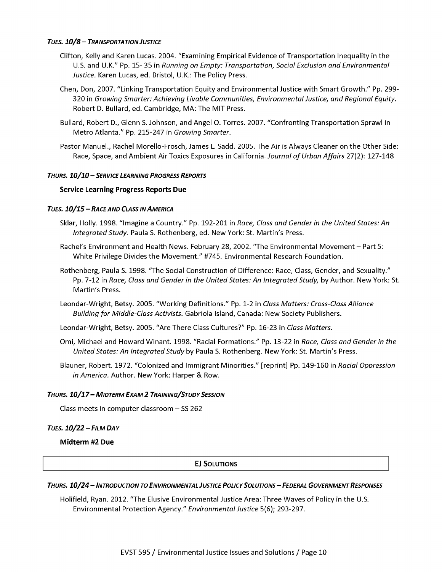#### *T u es. 1 0 / 8 - T r a n s p o r t a t io n J u s t ic e*

- Clifton, Kelly and Karen Lucas. 2004. "Examining Empirical Evidence of Transportation Inequality in the U.S. and U.K." Pp. 15- 35 in *Running on Empty: Transportation, Social Exclusion and Environmental Justice.* Karen Lucas, ed. Bristol, U.K.: The Policy Press.
- Chen, Don, 2007. "Linking Transportation Equity and Environmental Justice w ith Smart Growth." Pp. 299- 320 in *Growing Smarter: Achieving Livable Communities, Environmental Justice, and Regional Equity.* Robert D. Bullard, ed. Cambridge, MA: The MIT Press.
- Bullard, Robert D., Glenn S. Johnson, and Angel O. Torres. 2007. "Confronting Transportation Sprawl in Metro Atlanta." Pp. 215-247 in *Growing Smarter*.
- Pastor Manuel., Rachel Morello-Frosch, James L. Sadd. 2005. The Air is Always Cleaner on the Other Side: Race, Space, and Ambient Air Toxics Exposures in California. *Journal of Urban Affairs* 27(2): 127-148

#### *Th u r s . 1 0 / 1 0* - *Se r v ic e Le a r n in g P r o g r e s s R e p o r t s*

#### **Service Learning Progress Reports Due**

#### *T u es. 1 0 / 1 5* - *Ra c e a n d Class in A m e r ic a*

- Sklar, Holly. 1998. "Imagine a Country." Pp. 192-201 in *Race, Class and Gender in the United States: An Integrated Study.* Paula S. Rothenberg, ed. New York: St. Martin's Press.
- Rachel's Environment and Health News. February 28, 2002. "The Environmental Movement Part 5: White Privilege Divides the Movement." #745. Environmental Research Foundation.
- Rothenberg, Paula S. 1998. "The Social Construction of Difference: Race, Class, Gender, and Sexuality." Pp. 7-12 in *Race, Class and Gender in the United States: An Integrated Study,* by Author. New York: St. Martin's Press.
- Leondar-Wright, Betsy. 2005. "W orking Definitions." Pp. 1-2 in *Class M atters: Cross-Class Alliance* Building for Middle-Class Activists. Gabriola Island, Canada: New Society Publishers.
- Leondar-Wright, Betsy. 2005. "Are There Class Cultures?" Pp. 16-23 in *Class Matters.*
- Omi, Michael and Howard Winant. 1998. "Racial Formations." Pp. 13-22 in *Race, Class and Gender in the* United States: An Integrated Study by Paula S. Rothenberg. New York: St. Martin's Press.
- Blauner, Robert. 1972. "Colonized and Immigrant Minorities." [reprint] Pp. 149-160 in *Racial Oppression in America.* Author. New York: Harper & Row.

#### *Th u r s . 1 0 / 1 7 - M id t e r m Ex a m 2 Tr a in in g / S t u d y Se s s io n*

Class meets in computer classroom  $-$  SS 262

#### *T u es. 1 0 / 2 2* - *Fil m D a y*

**Midterm #2 Due**

#### **EJ SOLUTIONS**

#### THURS. 10/24 - INTRODUCTION TO ENVIRONMENTAL JUSTICE POLICY SOLUTIONS - FEDERAL GOVERNMENT RESPONSES

Holifield, Ryan. 2012. "The Elusive Environmental Justice Area: Three Waves of Policy in the U.S. Environmental Protection Agency." *Environmental Justice* 5(6); 293-297.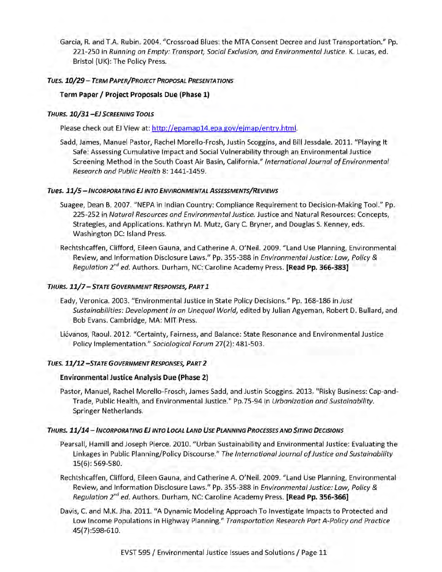Garcia, R. and T.A. Rubin. 2004. "Crossroad Blues: the MTA Consent Decree and Just Transportation." Pp. 221-250 in *Running on Empty: Transport, Social Exclusion, and Environmental Justice.* K. Lucas, ed. Bristol (UK): The Policy Press.

#### *T u es. 10/29* - *Te r m Pa p e r / P r o je c t P r o p o s a l P r e s e n t a t io n s*

#### **Term Paper / Project Proposals Due (Phase 1)**

#### *Th u r s . 10/31 -EJ S c r e e n in g To o l s*

Please check out EJ View at: http://epamap14.epa.gov/ejmap/entry.html.

Sadd, James, Manuel Pastor, Rachel Morello-Frosh, Justin Scoggins, and Bill Jessdale. 2011. "Playing It Safe: Assessing Cumulative Impact and Social Vulnerability through an Environmental Justice Screening Method in the South Coast Air Basin, California." *International Journal of Environmental Research and Public Health* 8: 1441-1459.

#### *Tues. 1 1 / 5* - *I n c o r p o r a t in g EJ in t o En v ir o n m e n t a l A s s e s s m e n t s/ R e v ie w s*

- Suagee, Dean B. 2007. "NEPA in Indian Country: Compliance Requirement to Decision-Making Tool." Pp. 225-252 in *Natural Resources and Environmental Justice.* Justice and Natural Resources: Concepts, Strategies, and Applications. Kathryn M. Mutz, Gary C. Bryner, and Douglas S. Kenney, eds. Washington DC: Island Press.
- Rechtshcaffen, Clifford, Eileen Gauna, and Catherine A. O'Neil. 2009. "Land Use Planning, Environmental Review, and Information Disclosure Laws." Pp. 355-388 in *Environmental Justice: Law, Policy & Regulation 2nd ed.* Authors. Durham, NC: Caroline Academy Press. **[Read Pp. 366-383]**

#### *Th u r s . 1 1 / 7 - S t a t e G o v e r n m e n t R e spo n ses, Pa r t I*

- Eady, Veronica. 2003. "Environmental Justice in State Policy Decisions." Pp. 168-186 in *Just Sustainabilities: Development in an Unequal World,* edited by Julian Agyeman, Robert D. Bullard, and Bob Evans. Cambridge, MA: MIT Press.
- Liévanos, Raoul. 2012. "Certainty, Fairness, and Balance: State Resonance and Environmental Justice Policy Implementation." *Sociological Forum* 27(2): 481-503.

#### *T u es. 1 1 / 1 2 - S t a t e G o v e r n m e n t Re spo n ses, Pa r t 2*

#### **Environmental Justice Analysis Due (Phase 2)**

Pastor, Manuel, Rachel Morello-Frosch, James Sadd, and Justin Scoggins. 2013. "Risky Business: Cap-and-Trade, Public Health, and Environmental Justice." Pp.75-94 in *Urbanization and Sustainability.* Springer Netherlands.

#### THURS. 11/14 - INCORPORATING EJ INTO LOCAL LAND USE PLANNING PROCESSES AND SITING DECISIONS

- Pearsall, Hamill and Joseph Pierce. 2010. "Urban Sustainability and Environmental Justice: Evaluating the Linkages in Public Planning/Policy Discourse." The International Journal of Justice and Sustainability 15(6): 569-580.
- Rechtshcaffen, Clifford, Eileen Gauna, and Catherine A. O'Neil. 2009. "Land Use Planning, Environmental Review, and Information Disclosure Laws." Pp. 355-388 in *Environmental Justice: Law, Policy & Regulation 2nd ed.* Authors. Durham, NC: Caroline Academy Press. **[Read Pp. 356-366]**
- Davis, C. and M.K. Jha. 2011. "A Dynamic Modeling Approach To Investigate Impacts to Protected and Low Income Populations in Highway Planning." *Transportation Research Part A-Policy and Practice* 45(7):598-610.

EVST 595 / Environmental Justice Issues and Solutions / Page 11